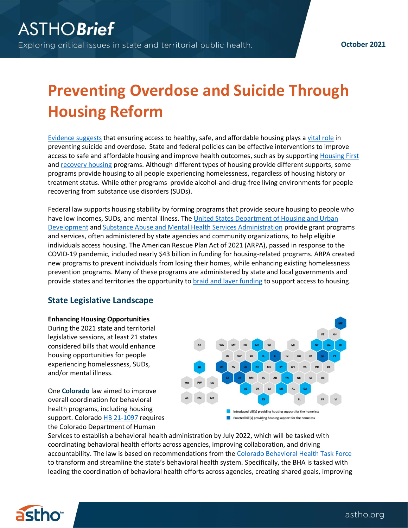# **Preventing Overdose and Suicide Through Housing Reform**

[Evidence suggests](https://www.healthaffairs.org/do/10.1377/hpb20180313.396577/full/) that ensuring access to healthy, safe, and affordable housing plays [a vital role](https://www.cdc.gov/violenceprevention/pdf/suicidetechnicalpackage.pdf) in preventing suicide and overdose. State and federal policies can be effective interventions to improve access to safe and affordable housing and improve health outcomes, such as by supporting [Housing First](https://files.hudexchange.info/resources/documents/Housing-First-Permanent-Supportive-Housing-Brief.pdf) and [recovery housing](https://www.samhsa.gov/homelessness-programs-resources/hpr-resources/affording-housing-models-recovery) programs. Although different types of housing provide different supports, some programs provide housing to all people experiencing homelessness, regardless of housing history or treatment status. While other programs provide alcohol-and-drug-free living environments for people recovering from substance use disorders (SUDs).

Federal law supports housing stability by forming programs that provide secure housing to people who have low incomes, SUDs, and mental illness. The [United States Department of Housing and Urban](https://www.hudexchange.info/homelessness-assistance/)  [Development](https://www.hudexchange.info/homelessness-assistance/) an[d Substance Abuse and Mental Health Services Administration](https://www.samhsa.gov/homelessness-programs-resources/hpr-resources/affording-housing-models-recovery) provide grant programs and services, often administered by state agencies and community organizations, to help eligible individuals access housing. The American Rescue Plan Act of 2021 (ARPA), passed in response to the COVID-19 pandemic, included nearl[y \\$43 billion in funding for housing-related](https://crsreports.congress.gov/product/pdf/IN/IN11641) programs. ARPA created new programs to prevent individuals from losing their homes, while enhancing existing homelessness prevention programs. Many of these programs are administered by state and local governments and provide states and territories the opportunity to **braid and layer funding** to support access to housing.

## **State Legislative Landscape**

**Enhancing Housing Opportunities** During the 2021 state and territorial legislative sessions, at least 21 states considered bills that would enhance housing opportunities for people experiencing homelessness, SUDs, and/or mental illness.

One **Colorado** law aimed to improve overall coordination for behavioral health programs, including housing support. Colorado [HB 21-1097](https://leg.colorado.gov/bills/hb21-1097) requires the Colorado Department of Human



Services to establish a behavioral health administration by July 2022, which will be tasked with coordinating behavioral health efforts across agencies, improving collaboration, and driving accountability. The law is based on recommendations from the [Colorado Behavioral Health Task Force](https://cdhs.colorado.gov/behavioral-health-reform) to transform and streamline the state's behavioral health system. Specifically, the BHA is tasked with leading the coordination of behavioral health efforts across agencies, creating shared goals, improving